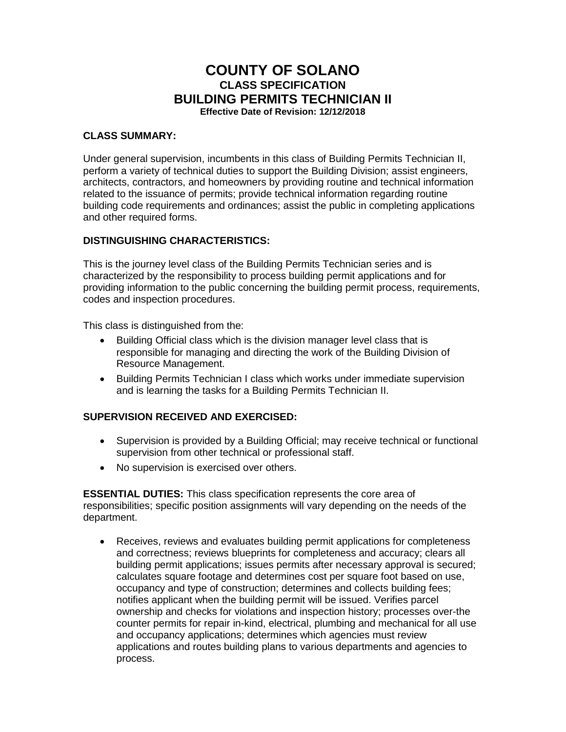# **COUNTY OF SOLANO CLASS SPECIFICATION BUILDING PERMITS TECHNICIAN II Effective Date of Revision: 12/12/2018**

#### **CLASS SUMMARY:**

Under general supervision, incumbents in this class of Building Permits Technician II, perform a variety of technical duties to support the Building Division; assist engineers, architects, contractors, and homeowners by providing routine and technical information related to the issuance of permits; provide technical information regarding routine building code requirements and ordinances; assist the public in completing applications and other required forms.

## **DISTINGUISHING CHARACTERISTICS:**

This is the journey level class of the Building Permits Technician series and is characterized by the responsibility to process building permit applications and for providing information to the public concerning the building permit process, requirements, codes and inspection procedures.

This class is distinguished from the:

- Building Official class which is the division manager level class that is responsible for managing and directing the work of the Building Division of Resource Management.
- Building Permits Technician I class which works under immediate supervision and is learning the tasks for a Building Permits Technician II.

## **SUPERVISION RECEIVED AND EXERCISED:**

- Supervision is provided by a Building Official; may receive technical or functional supervision from other technical or professional staff.
- No supervision is exercised over others.

**ESSENTIAL DUTIES:** This class specification represents the core area of responsibilities; specific position assignments will vary depending on the needs of the department.

• Receives, reviews and evaluates building permit applications for completeness and correctness; reviews blueprints for completeness and accuracy; clears all building permit applications; issues permits after necessary approval is secured; calculates square footage and determines cost per square foot based on use, occupancy and type of construction; determines and collects building fees; notifies applicant when the building permit will be issued. Verifies parcel ownership and checks for violations and inspection history; processes over-the counter permits for repair in-kind, electrical, plumbing and mechanical for all use and occupancy applications; determines which agencies must review applications and routes building plans to various departments and agencies to process.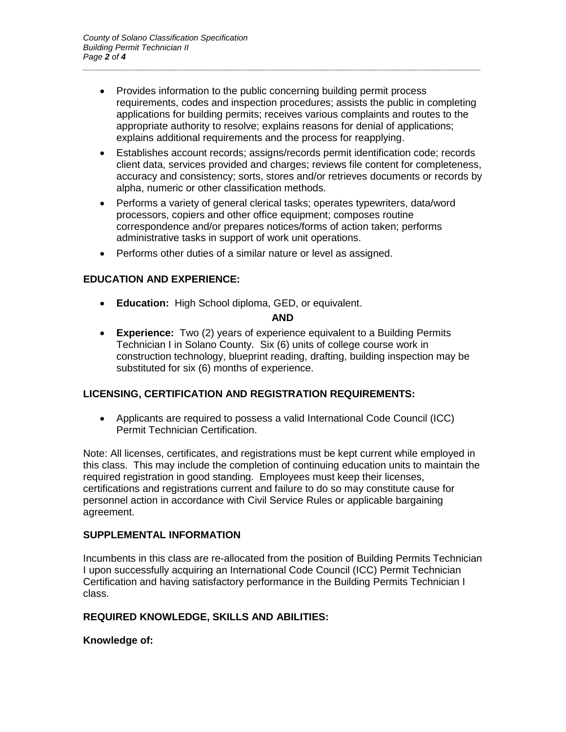• Provides information to the public concerning building permit process requirements, codes and inspection procedures; assists the public in completing applications for building permits; receives various complaints and routes to the appropriate authority to resolve; explains reasons for denial of applications; explains additional requirements and the process for reapplying.

*\_\_\_\_\_\_\_\_\_\_\_\_\_\_\_\_\_\_\_\_\_\_\_\_\_\_\_\_\_\_\_\_\_\_\_\_\_\_\_\_\_\_\_\_\_\_\_\_\_\_\_\_\_\_\_\_\_\_\_\_\_\_\_\_\_\_\_\_\_\_\_\_\_\_\_\_\_\_\_\_\_\_\_\_\_\_*

- Establishes account records; assigns/records permit identification code; records client data, services provided and charges; reviews file content for completeness, accuracy and consistency; sorts, stores and/or retrieves documents or records by alpha, numeric or other classification methods.
- Performs a variety of general clerical tasks; operates typewriters, data/word processors, copiers and other office equipment; composes routine correspondence and/or prepares notices/forms of action taken; performs administrative tasks in support of work unit operations.
- Performs other duties of a similar nature or level as assigned.

## **EDUCATION AND EXPERIENCE:**

• **Education:** High School diploma, GED, or equivalent.

## **AND**

• **Experience:** Two (2) years of experience equivalent to a Building Permits Technician I in Solano County. Six (6) units of college course work in construction technology, blueprint reading, drafting, building inspection may be substituted for six (6) months of experience.

## **LICENSING, CERTIFICATION AND REGISTRATION REQUIREMENTS:**

• Applicants are required to possess a valid International Code Council (ICC) Permit Technician Certification.

Note: All licenses, certificates, and registrations must be kept current while employed in this class. This may include the completion of continuing education units to maintain the required registration in good standing. Employees must keep their licenses, certifications and registrations current and failure to do so may constitute cause for personnel action in accordance with Civil Service Rules or applicable bargaining agreement.

## **SUPPLEMENTAL INFORMATION**

Incumbents in this class are re-allocated from the position of Building Permits Technician I upon successfully acquiring an International Code Council (ICC) Permit Technician Certification and having satisfactory performance in the Building Permits Technician I class.

## **REQUIRED KNOWLEDGE, SKILLS AND ABILITIES:**

## **Knowledge of:**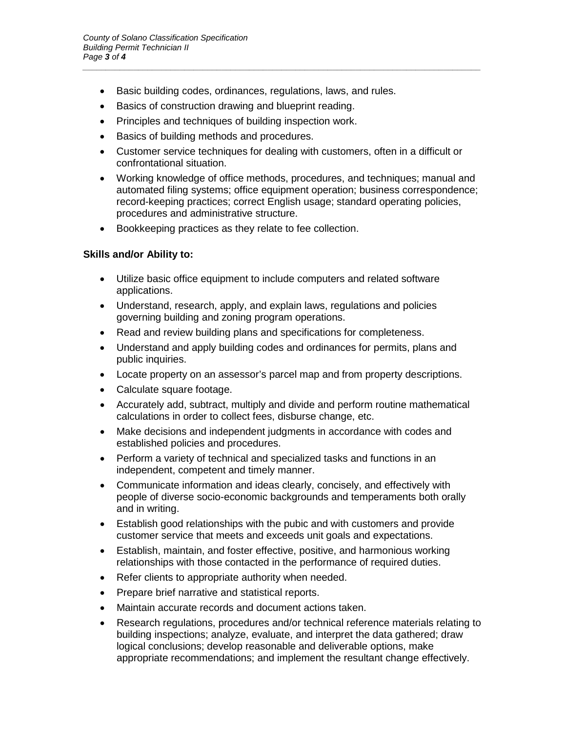- Basic building codes, ordinances, regulations, laws, and rules.
- Basics of construction drawing and blueprint reading.
- Principles and techniques of building inspection work.
- Basics of building methods and procedures.
- Customer service techniques for dealing with customers, often in a difficult or confrontational situation.

*\_\_\_\_\_\_\_\_\_\_\_\_\_\_\_\_\_\_\_\_\_\_\_\_\_\_\_\_\_\_\_\_\_\_\_\_\_\_\_\_\_\_\_\_\_\_\_\_\_\_\_\_\_\_\_\_\_\_\_\_\_\_\_\_\_\_\_\_\_\_\_\_\_\_\_\_\_\_\_\_\_\_\_\_\_\_*

- Working knowledge of office methods, procedures, and techniques; manual and automated filing systems; office equipment operation; business correspondence; record-keeping practices; correct English usage; standard operating policies, procedures and administrative structure.
- Bookkeeping practices as they relate to fee collection.

#### **Skills and/or Ability to:**

- Utilize basic office equipment to include computers and related software applications.
- Understand, research, apply, and explain laws, regulations and policies governing building and zoning program operations.
- Read and review building plans and specifications for completeness.
- Understand and apply building codes and ordinances for permits, plans and public inquiries.
- Locate property on an assessor's parcel map and from property descriptions.
- Calculate square footage.
- Accurately add, subtract, multiply and divide and perform routine mathematical calculations in order to collect fees, disburse change, etc.
- Make decisions and independent judgments in accordance with codes and established policies and procedures.
- Perform a variety of technical and specialized tasks and functions in an independent, competent and timely manner.
- Communicate information and ideas clearly, concisely, and effectively with people of diverse socio-economic backgrounds and temperaments both orally and in writing.
- Establish good relationships with the pubic and with customers and provide customer service that meets and exceeds unit goals and expectations.
- Establish, maintain, and foster effective, positive, and harmonious working relationships with those contacted in the performance of required duties.
- Refer clients to appropriate authority when needed.
- Prepare brief narrative and statistical reports.
- Maintain accurate records and document actions taken.
- Research regulations, procedures and/or technical reference materials relating to building inspections; analyze, evaluate, and interpret the data gathered; draw logical conclusions; develop reasonable and deliverable options, make appropriate recommendations; and implement the resultant change effectively.